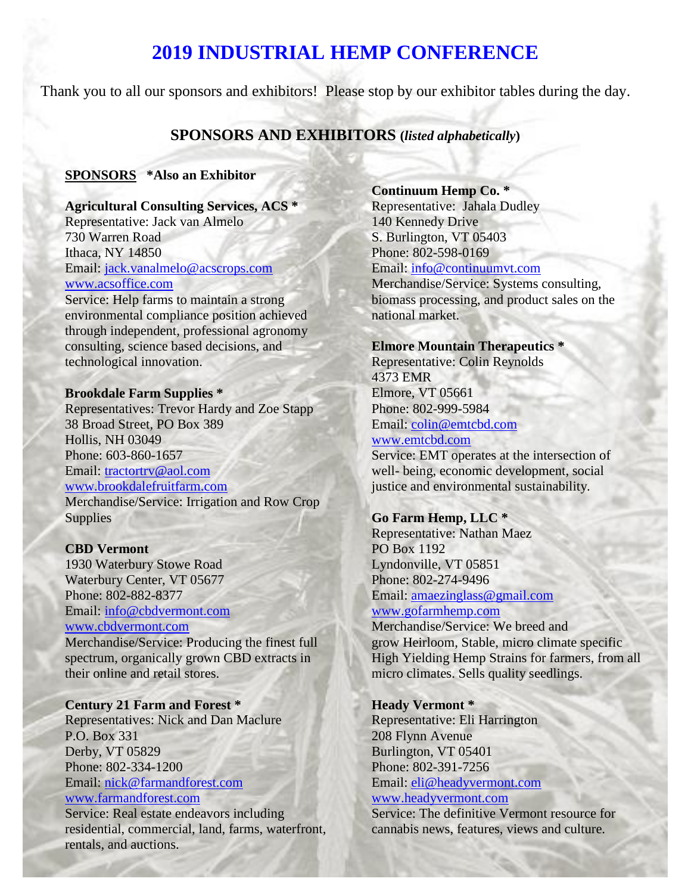# **2019 INDUSTRIAL HEMP CONFERENCE**

Thank you to all our sponsors and exhibitors! Please stop by our exhibitor tables during the day.

## **SPONSORS AND EXHIBITORS (***listed alphabetically***)**

## **SPONSORS \*Also an Exhibitor**

**Agricultural Consulting Services, ACS \*** Representative: Jack van Almelo 730 Warren Road Ithaca, NY 14850 Email: [jack.vanalmelo@acscrops.com](mailto:jack.vanalmelo@acscrops.com) [www.acsoffice.com](http://www.acsoffice.com/)

Service: Help farms to maintain a strong environmental compliance position achieved through independent, professional agronomy consulting, science based decisions, and technological innovation.

#### **Brookdale Farm Supplies \***

Representatives: Trevor Hardy and Zoe Stapp 38 Broad Street, PO Box 389 Hollis, NH 03049 Phone: 603-860-1657 Email: [tractortrv@aol.com](mailto:tractortrv@aol.com) [www.brookdalefruitfarm.com](http://www.brookdalefruitfarm.com/) Merchandise/Service: Irrigation and Row Crop Supplies

#### **CBD Vermont**

1930 Waterbury Stowe Road Waterbury Center, VT 05677 Phone: 802-882-8377 Email: [info@cbdvermont.com](mailto:info@cbdvermont.com) [www.cbdvermont.com](http://www.cbdvermont.com/)

Merchandise/Service: Producing the finest full spectrum, organically grown CBD extracts in their online and retail stores.

#### **Century 21 Farm and Forest \***

Representatives: Nick and Dan Maclure P.O. Box 331 Derby, VT 05829 Phone: 802-334-1200 Email: [nick@farmandforest.com](mailto:nick@farmandforest.com)

#### [www.farmandforest.com](http://www.farmandforest.com/)

Service: Real estate endeavors including residential, commercial, land, farms, waterfront, rentals, and auctions.

#### **Continuum Hemp Co. \***

Representative: Jahala Dudley 140 Kennedy Drive S. Burlington, VT 05403 Phone: 802-598-0169 Email: [info@continuumvt.com](mailto:info@continuumvt.com) Merchandise/Service: Systems consulting, biomass processing, and product sales on the national market.

#### **Elmore Mountain Therapeutics \***

Representative: Colin Reynolds 4373 EMR Elmore, VT 05661 Phone: 802-999-5984 Email: [colin@emtcbd.com](mailto:colin@emtcbd.com)

## [www.emtcbd.com](http://www.emtcbd.com/)

Service: EMT operates at the intersection of well- being, economic development, social justice and environmental sustainability.

#### **Go Farm Hemp, LLC \***

Representative: Nathan Maez PO Box 1192 Lyndonville, VT 05851 Phone: 802-274-9496 Email: [amaezinglass@gmail.com](mailto:amaezinglass@gmail.com) [www.gofarmhemp.com](http://www.gofarmhemp.com/)

Merchandise/Service: We breed and grow Heirloom, Stable, micro climate specific High Yielding Hemp Strains for farmers, from all micro climates. Sells quality seedlings.

## **Heady Vermont \***

Representative: Eli Harrington 208 Flynn Avenue Burlington, VT 05401 Phone: 802-391-7256 Email: [eli@headyvermont.com](mailto:eli@headyvermont.com) [www.headyvermont.com](http://www.headyvermont.com/) Service: The definitive Vermont resource for

cannabis news, features, views and culture.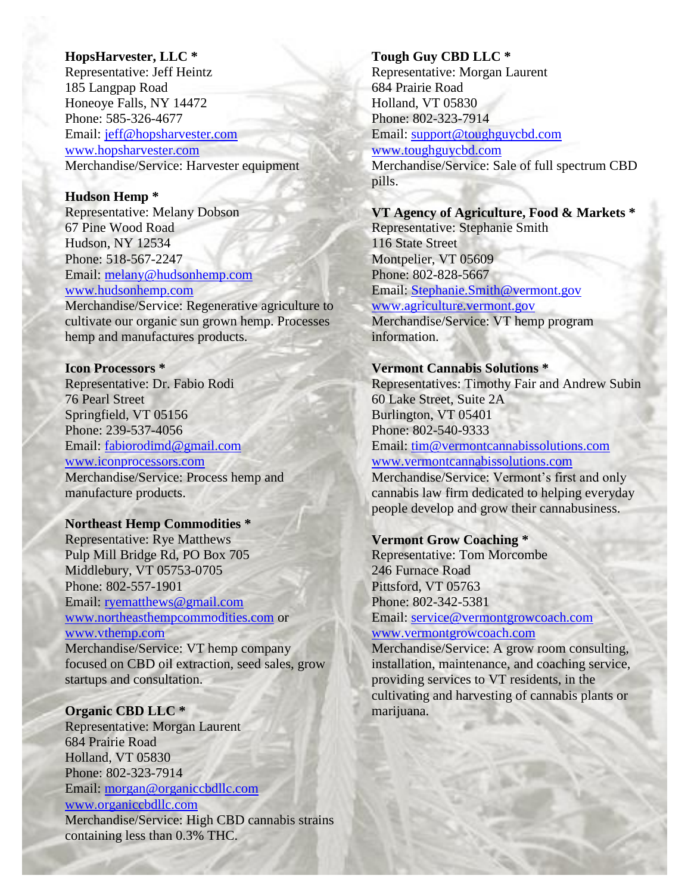## **HopsHarvester, LLC \***

Representative: Jeff Heintz 185 Langpap Road Honeoye Falls, NY 14472 Phone: 585-326-4677 Email: [jeff@hopsharvester.com](mailto:jeff@hopsharvester.com) [www.hopsharvester.com](http://www.hopsharvester.com/) Merchandise/Service: Harvester equipment

#### **Hudson Hemp \***

Representative: Melany Dobson 67 Pine Wood Road Hudson, NY 12534 Phone: 518-567-2247 Email: [melany@hudsonhemp.com](mailto:melany@hudsonhemp.com) [www.hudsonhemp.com](http://www.hudsonhemp.com/)

Merchandise/Service: Regenerative agriculture to cultivate our organic sun grown hemp. Processes hemp and manufactures products.

## **Icon Processors \***

Representative: Dr. Fabio Rodi 76 Pearl Street Springfield, VT 05156 Phone: 239-537-4056 Email: [fabiorodimd@gmail.com](mailto:fabiorodimd@gmail.com) [www.iconprocessors.com](http://www.iconprocessors.com/) Merchandise/Service: Process hemp and manufacture products.

#### **Northeast Hemp Commodities \***

Representative: Rye Matthews Pulp Mill Bridge Rd, PO Box 705 Middlebury, VT 05753-0705 Phone: 802-557-1901 Email: [ryematthews@gmail.com](mailto:ryematthews@gmail.com) [www.northeasthempcommodities.com](http://www.northeasthempcommodities.com/) or [www.vthemp.com](http://www.vthemp.com/) Merchandise/Service: VT hemp company focused on CBD oil extraction, seed sales, grow startups and consultation.

## **Organic CBD LLC \***

Representative: Morgan Laurent 684 Prairie Road Holland, VT 05830 Phone: 802-323-7914 Email: [morgan@organiccbdllc.com](mailto:morgan@organiccbdllc.com) [www.organiccbdllc.com](http://www.organiccbdllc.com/) Merchandise/Service: High CBD cannabis strains containing less than 0.3% THC.

## **Tough Guy CBD LLC \*** Representative: Morgan Laurent 684 Prairie Road Holland, VT 05830 Phone: 802-323-7914 Email: [support@toughguycbd.com](mailto:support@toughguycbd.com) [www.toughguycbd.com](http://www.toughguycbd.com/) Merchandise/Service: Sale of full spectrum CBD pills.

#### **VT Agency of Agriculture, Food & Markets \***

Representative: Stephanie Smith 116 State Street Montpelier, VT 05609 Phone: 802-828-5667 Email: [Stephanie.Smith@vermont.gov](mailto:Stephanie.Smith@vermont.gov) [www.agriculture.vermont.gov](http://www.agriculture.vermont.gov/)  Merchandise/Service: VT hemp program information.

## **Vermont Cannabis Solutions \***

Representatives: Timothy Fair and Andrew Subin 60 Lake Street, Suite 2A Burlington, VT 05401 Phone: 802-540-9333 Email: [tim@vermontcannabissolutions.com](mailto:tim@vermontcannabissolutions.com) [www.vermontcannabissolutions.com](http://www.vermontcannabissolutions.com/)

Merchandise/Service: Vermont's first and only cannabis law firm dedicated to helping everyday people develop and grow their cannabusiness.

## **Vermont Grow Coaching \***

Representative: Tom Morcombe 246 Furnace Road Pittsford, VT 05763 Phone: 802-342-5381 Email: [service@vermontgrowcoach.com](mailto:service@vermontgrowcoach.com)

## [www.vermontgrowcoach.com](http://www.vermontgrowcoach.com/)

Merchandise/Service: A grow room consulting, installation, maintenance, and coaching service, providing services to VT residents, in the cultivating and harvesting of cannabis plants or marijuana.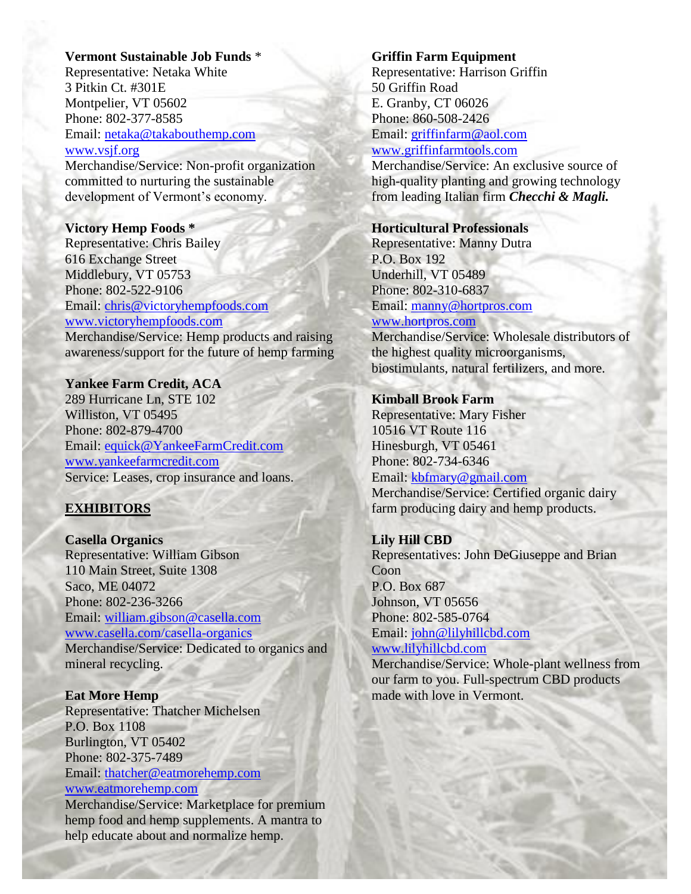#### **Vermont Sustainable Job Funds** \*

Representative: Netaka White 3 Pitkin Ct. #301E Montpelier, VT 05602 Phone: 802-377-8585 Email: [netaka@takabouthemp.com](mailto:netaka@takabouthemp.com) [www.vsjf.org](http://www.vsjf.org/)

Merchandise/Service: Non-profit organization committed to nurturing the sustainable development of Vermont's economy.

#### **Victory Hemp Foods \***

Representative: Chris Bailey 616 Exchange Street Middlebury, VT 05753 Phone: 802-522-9106 Email: [chris@victoryhempfoods.com](mailto:chris@victoryhempfoods.com) [www.victoryhempfoods.com](http://www.victoryhempfoods.com/) Merchandise/Service: Hemp products and raising

awareness/support for the future of hemp farming

## **Yankee Farm Credit, ACA**

289 Hurricane Ln, STE 102 Williston, VT 05495 Phone: 802-879-4700 Email: [equick@YankeeFarmCredit.com](mailto:equick@YankeeFarmCredit.com) [www.yankeefarmcredit.com](http://www.yankeefarmcredit.com/) Service: Leases, crop insurance and loans.

## **EXHIBITORS**

**Casella Organics** Representative: William Gibson 110 Main Street, Suite 1308 Saco, ME 04072 Phone: 802-236-3266 Email: [william.gibson@casella.com](mailto:william.gibson@casella.com) [www.casella.com/casella-organics](http://www.casella.com/casella-organics) Merchandise/Service: Dedicated to organics and mineral recycling.

## **Eat More Hemp**

Representative: Thatcher Michelsen P.O. Box 1108 Burlington, VT 05402 Phone: 802-375-7489 Email: [thatcher@eatmorehemp.com](mailto:thatcher@eatmorehemp.com) [www.eatmorehemp.com](http://www.eatmorehemp.com/)

Merchandise/Service: Marketplace for premium hemp food and hemp supplements. A mantra to help educate about and normalize hemp.

#### **Griffin Farm Equipment**

Representative: Harrison Griffin 50 Griffin Road E. Granby, CT 06026 Phone: 860-508-2426 Email: [griffinfarm@aol.com](mailto:griffinfarm@aol.com) [www.griffinfarmtools.com](http://www.griffinfarmtools.com/)

Merchandise/Service: An exclusive source of high-quality planting and growing technology from leading Italian firm *Checchi & Magli.*

#### **Horticultural Professionals**

Representative: Manny Dutra P.O. Box 192 Underhill, VT 05489 Phone: 802-310-6837 Email: [manny@hortpros.com](mailto:manny@hortpros.com) [www.hortpros.com](http://www.hortpros.com/)

Merchandise/Service: Wholesale distributors of the highest quality microorganisms, biostimulants, natural fertilizers, and more.

## **Kimball Brook Farm**

Representative: Mary Fisher 10516 VT Route 116 Hinesburgh, VT 05461 Phone: 802-734-6346 Email: [kbfmary@gmail.com](mailto:kbfmary@gmail.com) Merchandise/Service: Certified organic dairy farm producing dairy and hemp products.

**Lily Hill CBD** Representatives: John DeGiuseppe and Brian Coon P.O. Box 687 Johnson, VT 05656 Phone: 802-585-0764 Email: [john@lilyhillcbd.com](mailto:john@lilyhillcbd.com)

[www.lilyhillcbd.com](http://www.lilyhillcbd.com/)

Merchandise/Service: Whole-plant wellness from our farm to you. Full-spectrum CBD products made with love in Vermont.